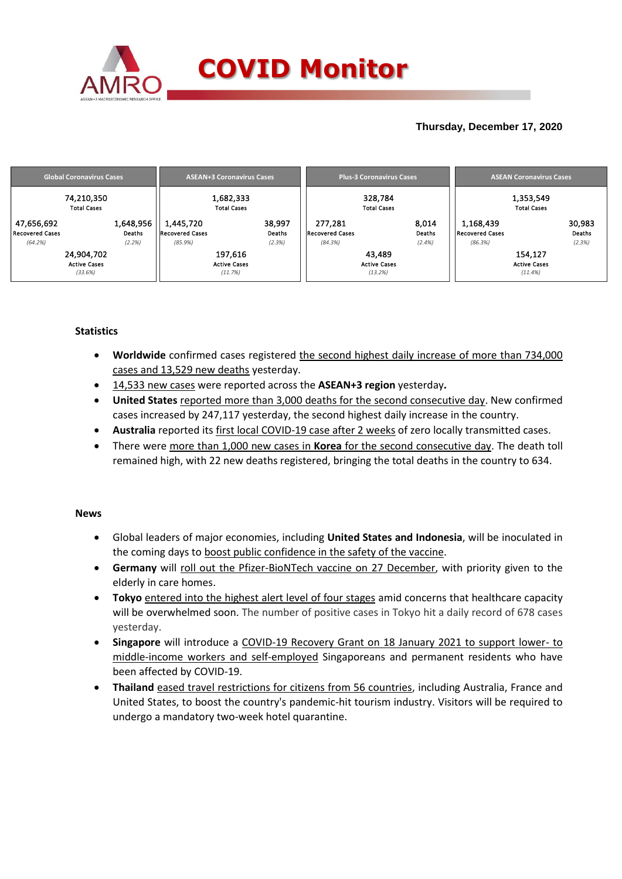

## **Thursday, December 17, 2020**

| <b>Global Coronavirus Cases</b> | <b>ASEAN+3 Coronavirus Cases</b> | <b>Plus-3 Coronavirus Cases</b> | <b>ASEAN Coronavirus Cases</b> |
|---------------------------------|----------------------------------|---------------------------------|--------------------------------|
| 74,210,350                      | 1,682,333                        | 328,784                         | 1,353,549                      |
| <b>Total Cases</b>              | <b>Total Cases</b>               | <b>Total Cases</b>              | <b>Total Cases</b>             |
| 1,648,956                       | 38,997                           | 277,281                         | 30,983                         |
| 47,656,692                      | 1,445,720                        | 8,014                           | 1,168,439                      |
| Recovered Cases                 | <b>Recovered Cases</b>           | Deaths                          | Deaths                         |
| Deaths                          | Deaths                           | <b>Recovered Cases</b>          | Recovered Cases                |
| (2.2%)                          | (85.9%)                          | (84.3%)                         | (2.3%)                         |
| (64.2%)                         | (2.3%)                           | (2.4%)                          | (86.3%)                        |
| 24,904,702                      | 197,616                          | 43,489                          | 154,127                        |
| <b>Active Cases</b>             | <b>Active Cases</b>              | <b>Active Cases</b>             | <b>Active Cases</b>            |
| (33.6%)                         | (11.7%)                          | (13.2%)                         | (11.4%)                        |

### **Statistics**

- **Worldwide** confirmed cases registered the second highest daily increase of more than 734,000 cases and 13,529 new deaths yesterday.
- 14,533 new cases were reported across the **ASEAN+3 region** yesterday**.**
- **United States** reported more than 3,000 deaths for the second consecutive day. New confirmed cases increased by 247,117 yesterday, the second highest daily increase in the country.
- **Australia** reported its first local COVID-19 case after 2 weeks of zero locally transmitted cases.
- There were more than 1,000 new cases in **Korea** for the second consecutive day. The death toll remained high, with 22 new deaths registered, bringing the total deaths in the country to 634.

#### **News**

- Global leaders of major economies, including **United States and Indonesia**, will be inoculated in the coming days to boost public confidence in the safety of the vaccine.
- **Germany** will roll out the Pfizer-BioNTech vaccine on 27 December, with priority given to the elderly in care homes.
- **Tokyo** entered into the highest alert level of four stages amid concerns that healthcare capacity will be overwhelmed soon. The number of positive cases in Tokyo hit a daily record of 678 cases yesterday.
- **Singapore** will introduce a COVID-19 Recovery Grant on 18 January 2021 to support lower- to middle-income workers and self-employed Singaporeans and permanent residents who have been affected by COVID-19.
- **Thailand** eased travel restrictions for citizens from 56 countries, including Australia, France and United States, to boost the country's pandemic-hit tourism industry. Visitors will be required to undergo a mandatory two-week hotel quarantine.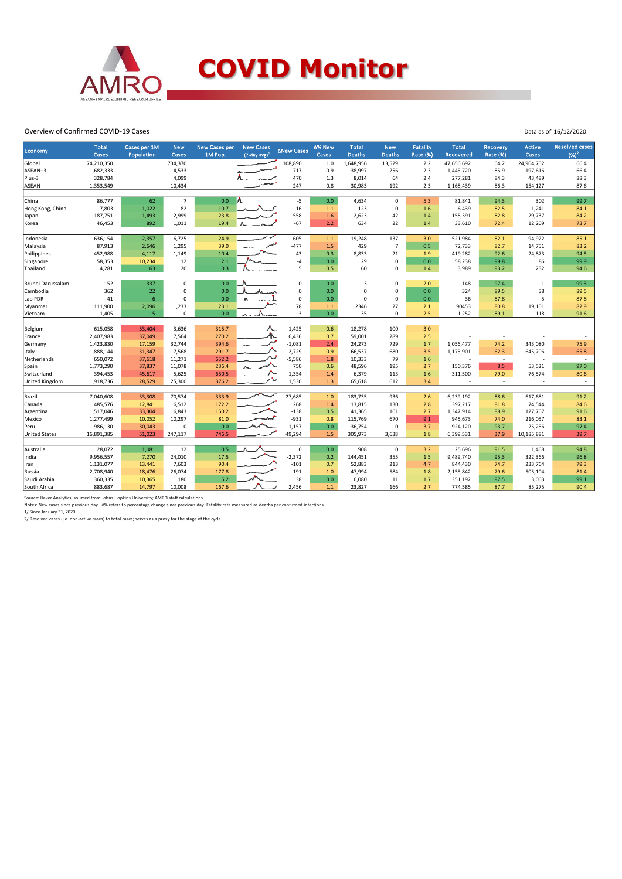

#### Overview of Confirmed COVID-19 Cases

| ∆% New<br><b>Total</b><br><b>Total</b><br>Cases per 1M<br><b>New Cases per</b><br><b>New Cases</b><br><b>Total</b><br><b>New</b><br><b>New</b><br><b>Fatality</b><br>Recovery<br><b>∆New Cases</b><br>Economy<br>Cases<br>Population<br>1M Pop.<br>$(7$ -day avg $)^1$<br>Cases<br><b>Deaths</b><br><b>Deaths</b><br><b>Rate (%)</b><br>Cases<br><b>Recovered</b><br><b>Rate (%)</b> | <b>Resolved cases</b><br>Active<br>$(96)^2$<br>Cases |
|--------------------------------------------------------------------------------------------------------------------------------------------------------------------------------------------------------------------------------------------------------------------------------------------------------------------------------------------------------------------------------------|------------------------------------------------------|
| 74,210,350<br>734,370<br>108,890<br>$1.0\,$<br>1,648,956<br>13,529<br>2.2<br>47,656,692<br>Global                                                                                                                                                                                                                                                                                    | 24,904,702<br>64.2<br>66.4                           |
| ASEAN+3<br>1,682,333<br>717<br>0.9<br>38,997<br>2.3<br>14,533<br>256<br>1,445,720                                                                                                                                                                                                                                                                                                    | 197,616<br>85.9<br>66.4                              |
| 470<br>Plus-3<br>328,784<br>4,099<br>1.3<br>64<br>2.4<br>277,281<br>8,014                                                                                                                                                                                                                                                                                                            | 84.3<br>43,489<br>88.3                               |
| 0.8<br><b>ASEAN</b><br>1,353,549<br>10,434<br>247<br>30,983<br>192<br>2.3<br>1,168,439                                                                                                                                                                                                                                                                                               | 86.3<br>154,127<br>87.6                              |
|                                                                                                                                                                                                                                                                                                                                                                                      |                                                      |
| $-5$<br>62<br>$\overline{7}$<br>0.0<br>$\mathbf 0$<br>China<br>86,777<br>0.0<br>4,634<br>5.3<br>81,841                                                                                                                                                                                                                                                                               | 302<br>99.7<br>94.3                                  |
| 82<br>$-16$<br>7,803<br>10.7<br>123<br>0<br>1,022<br>1.1<br>1.6<br>6,439<br>Hong Kong, China                                                                                                                                                                                                                                                                                         | 1,241<br>82.5<br>84.1                                |
| 23.8<br>558<br>187,751<br>1,493<br>2,999<br>1.6<br>2,623<br>42<br>155,391<br>1.4<br>Japan                                                                                                                                                                                                                                                                                            | 29,737<br>82.8<br>84.2                               |
| 46,453<br>892<br>19.4<br>$-67$<br>2.2<br>634<br>22<br>1,011<br>1.4<br>33,610<br>Korea                                                                                                                                                                                                                                                                                                | 12,209<br>73.7<br>72.4                               |
|                                                                                                                                                                                                                                                                                                                                                                                      |                                                      |
| 24.9<br>605<br>137<br>636,154<br>2,357<br>6,725<br>1.1<br>19,248<br>3.0<br>521,984<br>Indonesia                                                                                                                                                                                                                                                                                      | 94,922<br>85.1<br>82.1                               |
| 87,913<br>1,295<br>39.0<br>$-477$<br>1.5<br>429<br>0.5<br>72,733<br>Malaysia<br>2,646<br>$\overline{7}$                                                                                                                                                                                                                                                                              | 14,751<br>82.7<br>83.2                               |
| 43<br>21<br>452,988<br>4,117<br>1,149<br>10.4<br>0.3<br>8,833<br>419,282<br>Philippines<br>1.9                                                                                                                                                                                                                                                                                       | 24,873<br>92.6<br>94.5                               |
| 2.1<br>$-4$<br>0.0<br>29<br>0<br>0.0<br>58,238<br>58,353<br>10,234<br>12<br>Singapore                                                                                                                                                                                                                                                                                                | 99.9<br>86<br>99.8                                   |
| 0.3<br>63<br>20<br>0.5<br>60<br>Thailand<br>4,281<br>5<br>0<br>1.4<br>3,989                                                                                                                                                                                                                                                                                                          | 232<br>93.2<br>94.6                                  |
| 152<br>337<br>0.0<br>0.0<br><b>Brunei Darussalam</b><br>0<br>$\mathbf 0$<br>$\overline{3}$<br>0<br>2.0<br>148                                                                                                                                                                                                                                                                        | 97.4<br>99.3<br>$\mathbf{1}$                         |
| Cambodia<br>362<br>22<br>$\mathbf 0$<br>0.0<br>$\mathbf 0$<br>0.0<br>$\mathbf 0$<br>$\mathbf 0$<br>0.0<br>324                                                                                                                                                                                                                                                                        | 38<br>89.5<br>89.5                                   |
| $6\phantom{1}$<br>41<br>0.0<br>$\Omega$<br>$\mathbf 0$<br>$\Omega$<br>0                                                                                                                                                                                                                                                                                                              | 5                                                    |
| Lao PDR<br>0.0<br>0.0<br>36                                                                                                                                                                                                                                                                                                                                                          | 87.8<br>87.8                                         |
| 78<br>111,900<br>2,096<br>1,233<br>23.1<br>2346<br>27<br>2.1<br>90453<br>Myanmar<br>1.1<br>15<br>$-3$<br>2.5<br>1,405<br>$\mathbf 0$<br>0.0<br>0.0<br>35<br>0<br>1,252                                                                                                                                                                                                               | 80.8<br>19,101<br>82.9<br>89.1<br>118<br>91.6        |
| Vietnam                                                                                                                                                                                                                                                                                                                                                                              |                                                      |
| 1,425<br>615,058<br>53,404<br>3,636<br>315.7<br>0.6<br>18,278<br>100<br>3.0<br>Belgium<br>$\overline{a}$                                                                                                                                                                                                                                                                             | $\overline{a}$                                       |
| 办<br>6,436<br>2,407,983<br>37,049<br>17,564<br>270.2<br>0.7<br>59,001<br>289<br>2.5<br>France                                                                                                                                                                                                                                                                                        | ÷,                                                   |
| 1,423,830<br>32,744<br>$-1,081$<br>2.4<br>24,273<br>729<br>1.7<br>1,056,477<br>17,159<br>394.6<br>Germany                                                                                                                                                                                                                                                                            | 74.2<br>343,080<br>75.9                              |
| 1,888,144<br>17,568<br>291.7<br>2,729<br>0.9<br>66,537<br>3.5<br>1,175,901<br>31,347<br>680<br>Italy                                                                                                                                                                                                                                                                                 | 645,706<br>65.8<br>62.3                              |
| 650,072<br>652.2<br>$-5,586$<br>Netherlands<br>37,618<br>1.8<br>10,333<br>79<br>1.6<br>11,271<br>Ĭ.                                                                                                                                                                                                                                                                                  | $\sim$<br>$\overline{\phantom{a}}$                   |
| 750<br>1,773,290<br>37,837<br>11,078<br>236.4<br>0.6<br>48,596<br>195<br>2.7<br>150,376<br>Spain                                                                                                                                                                                                                                                                                     | 8.5<br>97.0<br>53,521                                |
| 1,354<br>394,453<br>5,625<br>650.5<br>6,379<br>113<br>1.6<br>311,500<br>Switzerland<br>45,617<br>1.4                                                                                                                                                                                                                                                                                 | 79.0<br>76,574<br>80.6                               |
| 1,530<br>United Kingdom<br>1,918,736<br>28,529<br>25,300<br>376.2<br>1.3<br>65,618<br>612<br>3.4                                                                                                                                                                                                                                                                                     | $\sim$<br>$\sim$                                     |
|                                                                                                                                                                                                                                                                                                                                                                                      |                                                      |
| 70,574<br>333.9<br>27,685<br>$1.0$<br>Brazil<br>7,040,608<br>33,308<br>183,735<br>936<br>2.6<br>6,239,192                                                                                                                                                                                                                                                                            | 91.2<br>88.6<br>617,681                              |
| 485,576<br>6,512<br>172.2<br>268<br>13,815<br>130<br>397,217<br>Canada<br>12,841<br>1.4<br>2.8                                                                                                                                                                                                                                                                                       | 74,544<br>84.6<br>81.8                               |
| 1,517,046<br>33,304<br>6,843<br>150.2<br>$-138$<br>0.5<br>41,365<br>2.7<br>1,347,914<br>Argentina<br>161                                                                                                                                                                                                                                                                             | 88.9<br>127,767<br>91.6                              |
| $-931$<br>945,673<br>1,277,499<br>10,297<br>81.0<br>0.8<br>115,769<br>670<br>9.1<br>Mexico<br>10,052                                                                                                                                                                                                                                                                                 | 74.0<br>216,057<br>83.1                              |
| 0.0<br>Peru<br>986,130<br>30,043<br>$\mathsf 0$<br>$-1,157$<br>0.0<br>36,754<br>0<br>3.7<br>924,120                                                                                                                                                                                                                                                                                  | 25,256<br>97.4<br>93.7                               |
| 746.5<br>49,294<br><b>United States</b><br>51,023<br>247,117<br>1.5<br>3,638<br>1.8<br>16,891,385<br>305,973<br>6,399,531                                                                                                                                                                                                                                                            | 39.7<br>37.9<br>10,185,881                           |
|                                                                                                                                                                                                                                                                                                                                                                                      |                                                      |
| 28,072<br>1,081<br>0.5<br>0.0<br>908<br>Australia<br>12<br>$\mathbf 0$<br>$\mathbf 0$<br>3.2<br>25,696                                                                                                                                                                                                                                                                               | 94.8<br>91.5<br>1,468                                |
| $-2,372$<br>9,956,557<br>24,010<br>17.5<br>144,451<br>355<br>1.5<br>9,489,740<br>India<br>7,270<br>0.2                                                                                                                                                                                                                                                                               | 95.3<br>322,366<br>96.8                              |
| 1,131,077<br>7,603<br>90.4<br>$-101$<br>0.7<br>52,883<br>213<br>844,430<br>13,441<br>4.7<br>Iran                                                                                                                                                                                                                                                                                     | 233,764<br>79.3<br>74.7                              |
| 2,708,940<br>177.8<br>$-191$<br>$1.0$<br>584<br>1.8<br>2,155,842<br>Russia<br>18,476<br>26,074<br>47,994                                                                                                                                                                                                                                                                             | 505,104<br>81.4<br>79.6                              |
| 5.2<br>38<br>0.0<br>1.7<br>Saudi Arabia<br>360,335<br>180<br>6,080<br>11<br>351,192<br>10,365                                                                                                                                                                                                                                                                                        | 3,063<br>99.1<br>97.5                                |
| 2,456<br>883,687<br>14,797<br>10,008<br>167.6<br>1.1<br>23,827<br>166<br>2.7<br>774,585<br>South Africa                                                                                                                                                                                                                                                                              | 87.7<br>85,275<br>90.4                               |

Source: Haver Analytics, sourced from Johns Hopkins University; AMRO staff calculations.<br>Notes: New cases since previous day. ∆% refers to percentage change since previous day. Fatality rate measured as deaths per confirme

Data as of 16/12/2020